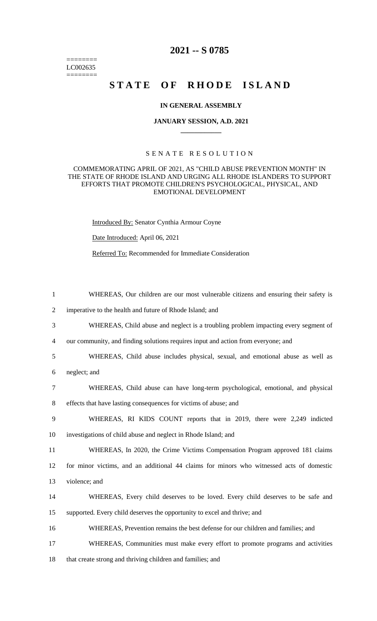$=$ LC002635 ========

## **2021 -- S 0785**

# **STATE OF RHODE ISLAND**

#### **IN GENERAL ASSEMBLY**

#### **JANUARY SESSION, A.D. 2021 \_\_\_\_\_\_\_\_\_\_\_\_**

#### S E N A T E R E S O L U T I O N

### COMMEMORATING APRIL OF 2021, AS "CHILD ABUSE PREVENTION MONTH" IN THE STATE OF RHODE ISLAND AND URGING ALL RHODE ISLANDERS TO SUPPORT EFFORTS THAT PROMOTE CHILDREN'S PSYCHOLOGICAL, PHYSICAL, AND EMOTIONAL DEVELOPMENT

Introduced By: Senator Cynthia Armour Coyne

Date Introduced: April 06, 2021

Referred To: Recommended for Immediate Consideration

| $\mathbf{1}$   | WHEREAS, Our children are our most vulnerable citizens and ensuring their safety is      |
|----------------|------------------------------------------------------------------------------------------|
| $\mathfrak{2}$ | imperative to the health and future of Rhode Island; and                                 |
| 3              | WHEREAS, Child abuse and neglect is a troubling problem impacting every segment of       |
| $\overline{4}$ | our community, and finding solutions requires input and action from everyone; and        |
| 5              | WHEREAS, Child abuse includes physical, sexual, and emotional abuse as well as           |
| 6              | neglect; and                                                                             |
| 7              | WHEREAS, Child abuse can have long-term psychological, emotional, and physical           |
| 8              | effects that have lasting consequences for victims of abuse; and                         |
| 9              | WHEREAS, RI KIDS COUNT reports that in 2019, there were 2,249 indicted                   |
| 10             | investigations of child abuse and neglect in Rhode Island; and                           |
| 11             | WHEREAS, In 2020, the Crime Victims Compensation Program approved 181 claims             |
| 12             | for minor victims, and an additional 44 claims for minors who witnessed acts of domestic |
| 13             | violence; and                                                                            |
| 14             | WHEREAS, Every child deserves to be loved. Every child deserves to be safe and           |
| 15             | supported. Every child deserves the opportunity to excel and thrive; and                 |
| 16             | WHEREAS, Prevention remains the best defense for our children and families; and          |
| 17             | WHEREAS, Communities must make every effort to promote programs and activities           |
| 18             | that create strong and thriving children and families; and                               |